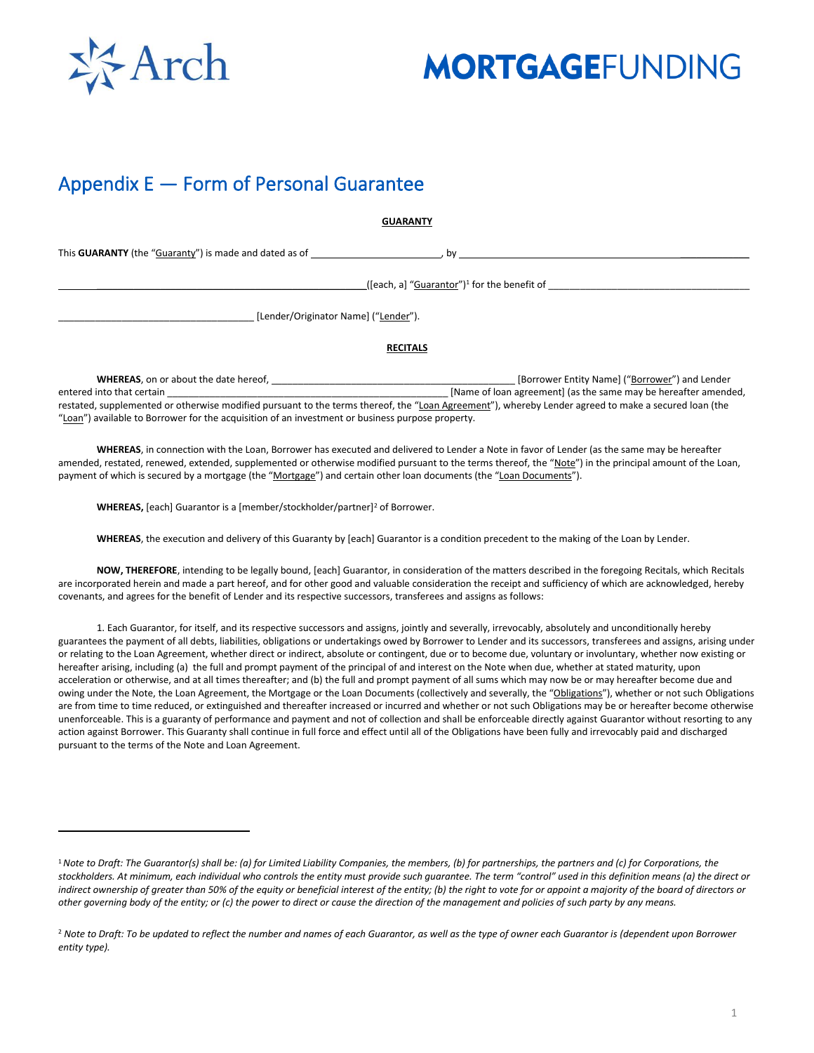

### Appendix E — Form of Personal Guarantee

**GUARANTY**

This **GUARANTY** (the "Guaranty") is made and dated as of  $\qquad \qquad$ , by

\_\_\_\_\_\_\_\_\_\_\_\_\_\_\_\_\_\_\_\_\_\_\_\_\_\_\_\_\_\_\_\_\_\_\_\_\_\_\_\_\_\_\_\_\_\_\_\_\_\_\_([each, a] "Guarantor")<sup>1</sup> for the benefit of \_\_\_\_\_\_\_\_\_\_\_\_\_\_\_\_\_\_\_\_\_\_\_\_\_\_\_\_\_\_\_\_\_\_\_\_\_\_

\_\_\_\_\_\_\_\_\_\_\_\_\_\_\_\_\_\_\_\_\_\_\_\_\_\_\_\_\_\_\_\_\_\_\_\_\_ [Lender/Originator Name] ("Lender").

#### **RECITALS**

**WHEREAS**, on or about the date hereof, \_\_\_\_\_\_\_\_\_\_\_\_\_\_\_\_\_\_\_\_\_\_\_\_\_\_\_\_\_\_\_\_\_\_\_\_\_\_\_\_\_\_\_\_\_\_ [Borrower Entity Name] ("Borrower") and Lender entered into that certain \_\_\_\_\_\_\_\_\_\_\_\_\_\_\_\_\_\_\_\_\_\_\_\_\_\_\_\_\_\_\_\_\_\_\_\_\_\_\_\_\_\_\_\_\_\_\_\_\_\_\_\_\_ [Name of loan agreement] (as the same may be hereafter amended, restated, supplemented or otherwise modified pursuant to the terms thereof, the "Loan Agreement"), whereby Lender agreed to make a secured loan (the "Loan") available to Borrower for the acquisition of an investment or business purpose property.

**WHEREAS**, in connection with the Loan, Borrower has executed and delivered to Lender a Note in favor of Lender (as the same may be hereafter amended, restated, renewed, extended, supplemented or otherwise modified pursuant to the terms thereof, the "Note") in the principal amount of the Loan, payment of which is secured by a mortgage (the "Mortgage") and certain other loan documents (the "Loan Documents").

WHEREAS, [each] Guarantor is a [member/stockholder/partner]<sup>2</sup> of Borrower.

**WHEREAS**, the execution and delivery of this Guaranty by [each] Guarantor is a condition precedent to the making of the Loan by Lender.

**NOW, THEREFORE**, intending to be legally bound, [each] Guarantor, in consideration of the matters described in the foregoing Recitals, which Recitals are incorporated herein and made a part hereof, and for other good and valuable consideration the receipt and sufficiency of which are acknowledged, hereby covenants, and agrees for the benefit of Lender and its respective successors, transferees and assigns as follows:

1. Each Guarantor, for itself, and its respective successors and assigns, jointly and severally, irrevocably, absolutely and unconditionally hereby guarantees the payment of all debts, liabilities, obligations or undertakings owed by Borrower to Lender and its successors, transferees and assigns, arising under or relating to the Loan Agreement, whether direct or indirect, absolute or contingent, due or to become due, voluntary or involuntary, whether now existing or hereafter arising, including (a) the full and prompt payment of the principal of and interest on the Note when due, whether at stated maturity, upon acceleration or otherwise, and at all times thereafter; and (b) the full and prompt payment of all sums which may now be or may hereafter become due and owing under the Note, the Loan Agreement, the Mortgage or the Loan Documents (collectively and severally, the "Obligations"), whether or not such Obligations are from time to time reduced, or extinguished and thereafter increased or incurred and whether or not such Obligations may be or hereafter become otherwise unenforceable. This is a guaranty of performance and payment and not of collection and shall be enforceable directly against Guarantor without resorting to any action against Borrower. This Guaranty shall continue in full force and effect until all of the Obligations have been fully and irrevocably paid and discharged pursuant to the terms of the Note and Loan Agreement.

<sup>&</sup>lt;sup>1</sup> Note to Draft: The Guarantor(s) shall be: (a) for Limited Liability Companies, the members, (b) for partnerships, the partners and (c) for Corporations, the stockholders. At minimum, each individual who controls the entity must provide such guarantee. The term "control" used in this definition means (a) the direct or *indirect ownership of greater than 50% of the equity or beneficial interest of the entity; (b) the right to vote for or appoint a majority of the board of directors or other governing body of the entity; or (c) the power to direct or cause the direction of the management and policies of such party by any means.*

<sup>&</sup>lt;sup>2</sup> Note to Draft: To be updated to reflect the number and names of each Guarantor, as well as the type of owner each Guarantor is (dependent upon Borrower *entity type).*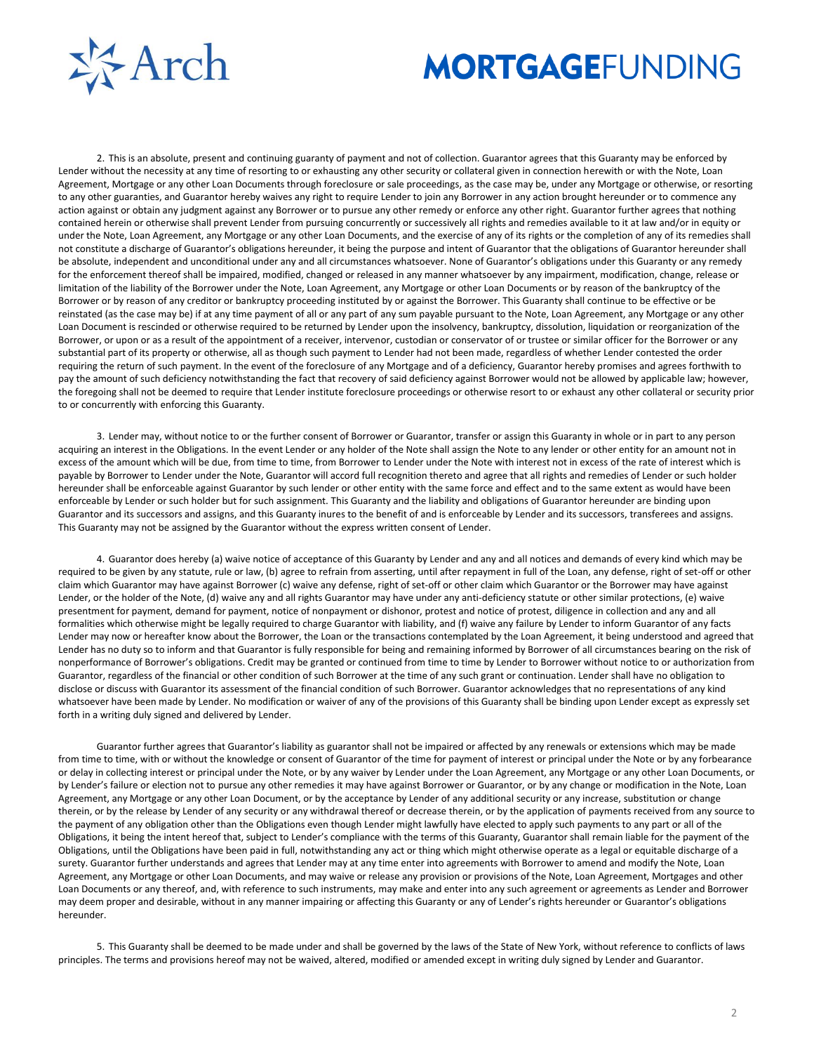

2. This is an absolute, present and continuing guaranty of payment and not of collection. Guarantor agrees that this Guaranty may be enforced by Lender without the necessity at any time of resorting to or exhausting any other security or collateral given in connection herewith or with the Note, Loan Agreement, Mortgage or any other Loan Documents through foreclosure or sale proceedings, as the case may be, under any Mortgage or otherwise, or resorting to any other guaranties, and Guarantor hereby waives any right to require Lender to join any Borrower in any action brought hereunder or to commence any action against or obtain any judgment against any Borrower or to pursue any other remedy or enforce any other right. Guarantor further agrees that nothing contained herein or otherwise shall prevent Lender from pursuing concurrently or successively all rights and remedies available to it at law and/or in equity or under the Note, Loan Agreement, any Mortgage or any other Loan Documents, and the exercise of any of its rights or the completion of any of its remedies shall not constitute a discharge of Guarantor's obligations hereunder, it being the purpose and intent of Guarantor that the obligations of Guarantor hereunder shall be absolute, independent and unconditional under any and all circumstances whatsoever. None of Guarantor's obligations under this Guaranty or any remedy for the enforcement thereof shall be impaired, modified, changed or released in any manner whatsoever by any impairment, modification, change, release or limitation of the liability of the Borrower under the Note, Loan Agreement, any Mortgage or other Loan Documents or by reason of the bankruptcy of the Borrower or by reason of any creditor or bankruptcy proceeding instituted by or against the Borrower. This Guaranty shall continue to be effective or be reinstated (as the case may be) if at any time payment of all or any part of any sum payable pursuant to the Note, Loan Agreement, any Mortgage or any other Loan Document is rescinded or otherwise required to be returned by Lender upon the insolvency, bankruptcy, dissolution, liquidation or reorganization of the Borrower, or upon or as a result of the appointment of a receiver, intervenor, custodian or conservator of or trustee or similar officer for the Borrower or any substantial part of its property or otherwise, all as though such payment to Lender had not been made, regardless of whether Lender contested the order requiring the return of such payment. In the event of the foreclosure of any Mortgage and of a deficiency, Guarantor hereby promises and agrees forthwith to pay the amount of such deficiency notwithstanding the fact that recovery of said deficiency against Borrower would not be allowed by applicable law; however, the foregoing shall not be deemed to require that Lender institute foreclosure proceedings or otherwise resort to or exhaust any other collateral or security prior to or concurrently with enforcing this Guaranty.

3. Lender may, without notice to or the further consent of Borrower or Guarantor, transfer or assign this Guaranty in whole or in part to any person acquiring an interest in the Obligations. In the event Lender or any holder of the Note shall assign the Note to any lender or other entity for an amount not in excess of the amount which will be due, from time to time, from Borrower to Lender under the Note with interest not in excess of the rate of interest which is payable by Borrower to Lender under the Note, Guarantor will accord full recognition thereto and agree that all rights and remedies of Lender or such holder hereunder shall be enforceable against Guarantor by such lender or other entity with the same force and effect and to the same extent as would have been enforceable by Lender or such holder but for such assignment. This Guaranty and the liability and obligations of Guarantor hereunder are binding upon Guarantor and its successors and assigns, and this Guaranty inures to the benefit of and is enforceable by Lender and its successors, transferees and assigns. This Guaranty may not be assigned by the Guarantor without the express written consent of Lender.

4. Guarantor does hereby (a) waive notice of acceptance of this Guaranty by Lender and any and all notices and demands of every kind which may be required to be given by any statute, rule or law, (b) agree to refrain from asserting, until after repayment in full of the Loan, any defense, right of set-off or other claim which Guarantor may have against Borrower (c) waive any defense, right of set-off or other claim which Guarantor or the Borrower may have against Lender, or the holder of the Note, (d) waive any and all rights Guarantor may have under any anti-deficiency statute or other similar protections, (e) waive presentment for payment, demand for payment, notice of nonpayment or dishonor, protest and notice of protest, diligence in collection and any and all formalities which otherwise might be legally required to charge Guarantor with liability, and (f) waive any failure by Lender to inform Guarantor of any facts Lender may now or hereafter know about the Borrower, the Loan or the transactions contemplated by the Loan Agreement, it being understood and agreed that Lender has no duty so to inform and that Guarantor is fully responsible for being and remaining informed by Borrower of all circumstances bearing on the risk of nonperformance of Borrower's obligations. Credit may be granted or continued from time to time by Lender to Borrower without notice to or authorization from Guarantor, regardless of the financial or other condition of such Borrower at the time of any such grant or continuation. Lender shall have no obligation to disclose or discuss with Guarantor its assessment of the financial condition of such Borrower. Guarantor acknowledges that no representations of any kind whatsoever have been made by Lender. No modification or waiver of any of the provisions of this Guaranty shall be binding upon Lender except as expressly set forth in a writing duly signed and delivered by Lender.

Guarantor further agrees that Guarantor's liability as guarantor shall not be impaired or affected by any renewals or extensions which may be made from time to time, with or without the knowledge or consent of Guarantor of the time for payment of interest or principal under the Note or by any forbearance or delay in collecting interest or principal under the Note, or by any waiver by Lender under the Loan Agreement, any Mortgage or any other Loan Documents, or by Lender's failure or election not to pursue any other remedies it may have against Borrower or Guarantor, or by any change or modification in the Note, Loan Agreement, any Mortgage or any other Loan Document, or by the acceptance by Lender of any additional security or any increase, substitution or change therein, or by the release by Lender of any security or any withdrawal thereof or decrease therein, or by the application of payments received from any source to the payment of any obligation other than the Obligations even though Lender might lawfully have elected to apply such payments to any part or all of the Obligations, it being the intent hereof that, subject to Lender's compliance with the terms of this Guaranty, Guarantor shall remain liable for the payment of the Obligations, until the Obligations have been paid in full, notwithstanding any act or thing which might otherwise operate as a legal or equitable discharge of a surety. Guarantor further understands and agrees that Lender may at any time enter into agreements with Borrower to amend and modify the Note, Loan Agreement, any Mortgage or other Loan Documents, and may waive or release any provision or provisions of the Note, Loan Agreement, Mortgages and other Loan Documents or any thereof, and, with reference to such instruments, may make and enter into any such agreement or agreements as Lender and Borrower may deem proper and desirable, without in any manner impairing or affecting this Guaranty or any of Lender's rights hereunder or Guarantor's obligations hereunder.

5. This Guaranty shall be deemed to be made under and shall be governed by the laws of the State of New York, without reference to conflicts of laws principles. The terms and provisions hereof may not be waived, altered, modified or amended except in writing duly signed by Lender and Guarantor.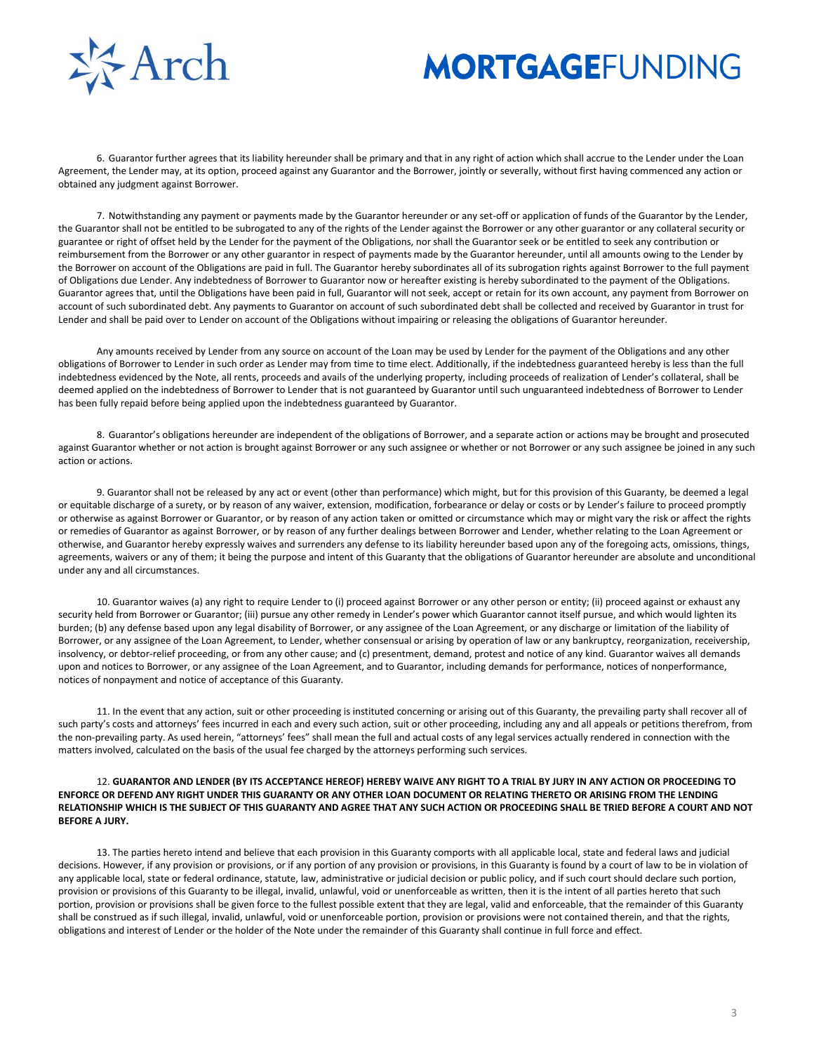

6. Guarantor further agrees that its liability hereunder shall be primary and that in any right of action which shall accrue to the Lender under the Loan Agreement, the Lender may, at its option, proceed against any Guarantor and the Borrower, jointly or severally, without first having commenced any action or obtained any judgment against Borrower.

7. Notwithstanding any payment or payments made by the Guarantor hereunder or any set-off or application of funds of the Guarantor by the Lender, the Guarantor shall not be entitled to be subrogated to any of the rights of the Lender against the Borrower or any other guarantor or any collateral security or guarantee or right of offset held by the Lender for the payment of the Obligations, nor shall the Guarantor seek or be entitled to seek any contribution or reimbursement from the Borrower or any other guarantor in respect of payments made by the Guarantor hereunder, until all amounts owing to the Lender by the Borrower on account of the Obligations are paid in full. The Guarantor hereby subordinates all of its subrogation rights against Borrower to the full payment of Obligations due Lender. Any indebtedness of Borrower to Guarantor now or hereafter existing is hereby subordinated to the payment of the Obligations. Guarantor agrees that, until the Obligations have been paid in full, Guarantor will not seek, accept or retain for its own account, any payment from Borrower on account of such subordinated debt. Any payments to Guarantor on account of such subordinated debt shall be collected and received by Guarantor in trust for Lender and shall be paid over to Lender on account of the Obligations without impairing or releasing the obligations of Guarantor hereunder.

Any amounts received by Lender from any source on account of the Loan may be used by Lender for the payment of the Obligations and any other obligations of Borrower to Lender in such order as Lender may from time to time elect. Additionally, if the indebtedness guaranteed hereby is less than the full indebtedness evidenced by the Note, all rents, proceeds and avails of the underlying property, including proceeds of realization of Lender's collateral, shall be deemed applied on the indebtedness of Borrower to Lender that is not guaranteed by Guarantor until such unguaranteed indebtedness of Borrower to Lender has been fully repaid before being applied upon the indebtedness guaranteed by Guarantor.

8. Guarantor's obligations hereunder are independent of the obligations of Borrower, and a separate action or actions may be brought and prosecuted against Guarantor whether or not action is brought against Borrower or any such assignee or whether or not Borrower or any such assignee be joined in any such action or actions.

9. Guarantor shall not be released by any act or event (other than performance) which might, but for this provision of this Guaranty, be deemed a legal or equitable discharge of a surety, or by reason of any waiver, extension, modification, forbearance or delay or costs or by Lender's failure to proceed promptly or otherwise as against Borrower or Guarantor, or by reason of any action taken or omitted or circumstance which may or might vary the risk or affect the rights or remedies of Guarantor as against Borrower, or by reason of any further dealings between Borrower and Lender, whether relating to the Loan Agreement or otherwise, and Guarantor hereby expressly waives and surrenders any defense to its liability hereunder based upon any of the foregoing acts, omissions, things, agreements, waivers or any of them; it being the purpose and intent of this Guaranty that the obligations of Guarantor hereunder are absolute and unconditional under any and all circumstances.

10. Guarantor waives (a) any right to require Lender to (i) proceed against Borrower or any other person or entity; (ii) proceed against or exhaust any security held from Borrower or Guarantor; (iii) pursue any other remedy in Lender's power which Guarantor cannot itself pursue, and which would lighten its burden; (b) any defense based upon any legal disability of Borrower, or any assignee of the Loan Agreement, or any discharge or limitation of the liability of Borrower, or any assignee of the Loan Agreement, to Lender, whether consensual or arising by operation of law or any bankruptcy, reorganization, receivership, insolvency, or debtor-relief proceeding, or from any other cause; and (c) presentment, demand, protest and notice of any kind. Guarantor waives all demands upon and notices to Borrower, or any assignee of the Loan Agreement, and to Guarantor, including demands for performance, notices of nonperformance, notices of nonpayment and notice of acceptance of this Guaranty.

11. In the event that any action, suit or other proceeding is instituted concerning or arising out of this Guaranty, the prevailing party shall recover all of such party's costs and attorneys' fees incurred in each and every such action, suit or other proceeding, including any and all appeals or petitions therefrom, from the non-prevailing party. As used herein, "attorneys' fees" shall mean the full and actual costs of any legal services actually rendered in connection with the matters involved, calculated on the basis of the usual fee charged by the attorneys performing such services.

#### 12. **GUARANTOR AND LENDER (BY ITS ACCEPTANCE HEREOF) HEREBY WAIVE ANY RIGHT TO A TRIAL BY JURY IN ANY ACTION OR PROCEEDING TO ENFORCE OR DEFEND ANY RIGHT UNDER THIS GUARANTY OR ANY OTHER LOAN DOCUMENT OR RELATING THERETO OR ARISING FROM THE LENDING RELATIONSHIP WHICH IS THE SUBJECT OF THIS GUARANTY AND AGREE THAT ANY SUCH ACTION OR PROCEEDING SHALL BE TRIED BEFORE A COURT AND NOT BEFORE A JURY.**

13. The parties hereto intend and believe that each provision in this Guaranty comports with all applicable local, state and federal laws and judicial decisions. However, if any provision or provisions, or if any portion of any provision or provisions, in this Guaranty is found by a court of law to be in violation of any applicable local, state or federal ordinance, statute, law, administrative or judicial decision or public policy, and if such court should declare such portion, provision or provisions of this Guaranty to be illegal, invalid, unlawful, void or unenforceable as written, then it is the intent of all parties hereto that such portion, provision or provisions shall be given force to the fullest possible extent that they are legal, valid and enforceable, that the remainder of this Guaranty shall be construed as if such illegal, invalid, unlawful, void or unenforceable portion, provision or provisions were not contained therein, and that the rights, obligations and interest of Lender or the holder of the Note under the remainder of this Guaranty shall continue in full force and effect.